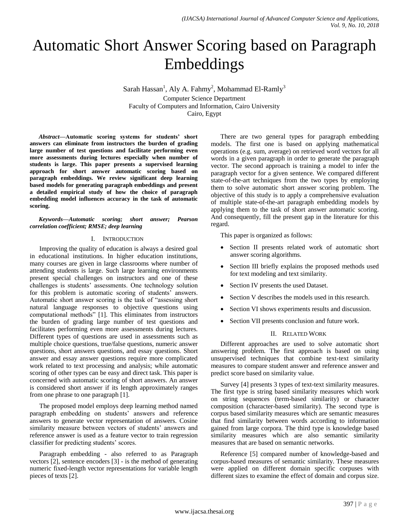# Automatic Short Answer Scoring based on Paragraph Embeddings

Sarah Hassan<sup>1</sup>, Aly A. Fahmy<sup>2</sup>, Mohammad El-Ramly<sup>3</sup> Computer Science Department Faculty of Computers and Information, Cairo University Cairo, Egypt

*Abstract***—Automatic scoring systems for students' short answers can eliminate from instructors the burden of grading large number of test questions and facilitate performing even more assessments during lectures especially when number of students is large. This paper presents a supervised learning approach for short answer automatic scoring based on paragraph embeddings. We review significant deep learning based models for generating paragraph embeddings and present a detailed empirical study of how the choice of paragraph embedding model influences accuracy in the task of automatic scoring.**

*Keywords—Automatic scoring; short answer; Pearson correlation coefficient; RMSE; deep learning*

#### I. INTRODUCTION

Improving the quality of education is always a desired goal in educational institutions. In higher education institutions, many courses are given in large classrooms where number of attending students is large. Such large learning environments present special challenges on instructors and one of these challenges is students' assessments. One technology solution for this problem is automatic scoring of students' answers. Automatic short answer scoring is the task of "assessing short natural language responses to objective questions using computational methods" [1]. This eliminates from instructors the burden of grading large number of test questions and facilitates performing even more assessments during lectures. Different types of questions are used in assessments such as multiple choice questions, true/false questions, numeric answer questions, short answers questions, and essay questions. Short answer and essay answer questions require more complicated work related to text processing and analysis; while automatic scoring of other types can be easy and direct task. This paper is concerned with automatic scoring of short answers. An answer is considered short answer if its length approximately ranges from one phrase to one paragraph [1].

The proposed model employs deep learning method named paragraph embedding on students' answers and reference answers to generate vector representation of answers. Cosine similarity measure between vectors of students' answers and reference answer is used as a feature vector to train regression classifier for predicting students' scores.

Paragraph embedding - also referred to as Paragraph vectors [2], sentence encoders [3] - is the method of generating numeric fixed-length vector representations for variable length pieces of texts [2].

There are two general types for paragraph embedding models. The first one is based on applying mathematical operations (e.g. sum, average) on retrieved word vectors for all words in a given paragraph in order to generate the paragraph vector. The second approach is training a model to infer the paragraph vector for a given sentence. We compared different state-of-the-art techniques from the two types by employing them to solve automatic short answer scoring problem. The objective of this study is to apply a comprehensive evaluation of multiple state-of-the-art paragraph embedding models by applying them to the task of short answer automatic scoring. And consequently, fill the present gap in the literature for this regard.

This paper is organized as follows:

- Section II presents related work of automatic short answer scoring algorithms.
- Section III briefly explains the proposed methods used for text modeling and text similarity.
- Section IV presents the used Dataset.
- Section V describes the models used in this research.
- Section VI shows experiments results and discussion.
- Section VII presents conclusion and future work.

## II. RELATED WORK

Different approaches are used to solve automatic short answering problem. The first approach is based on using unsupervised techniques that combine text-text similarity measures to compare student answer and reference answer and predict score based on similarity value.

Survey [4] presents 3 types of text-text similarity measures. The first type is string based similarity measures which work on string sequences (term-based similarity) or character composition (character-based similarity). The second type is corpus based similarity measures which are semantic measures that find similarity between words according to information gained from large corpora. The third type is knowledge based similarity measures which are also semantic similarity measures that are based on semantic networks.

Reference [5] compared number of knowledge-based and corpus-based measures of semantic similarity. These measures were applied on different domain specific corpuses with different sizes to examine the effect of domain and corpus size.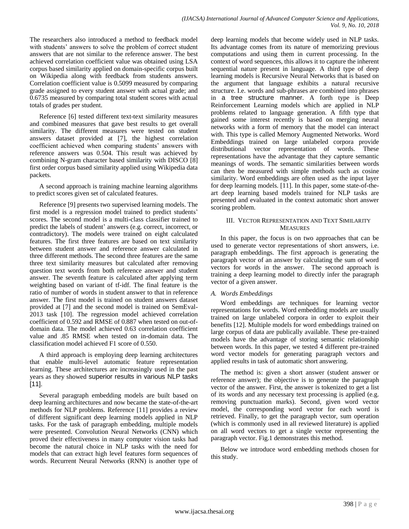The researchers also introduced a method to feedback model with students' answers to solve the problem of correct student answers that are not similar to the reference answer. The best achieved correlation coefficient value was obtained using LSA corpus based similarity applied on domain-specific corpus built on Wikipedia along with feedback from students answers. Correlation coefficient value is 0.5099 measured by comparing grade assigned to every student answer with actual grade; and 0.6735 measured by comparing total student scores with actual totals of grades per student.

Reference [6] tested different text-text similarity measures and combined measures that gave best results to get overall similarity. The different measures were tested on student answers dataset provided at [7], the highest correlation coefficient achieved when comparing students' answers with reference answers was 0.504. This result was achieved by combining N-gram character based similarity with DISCO [8] first order corpus based similarity applied using Wikipedia data packets.

A second approach is training machine learning algorithms to predict scores given set of calculated features.

Reference [9] presents two supervised learning models. The first model is a regression model trained to predict students' scores. The second model is a multi-class classifier trained to predict the labels of student' answers (e.g. correct, incorrect, or contradictory). The models were trained on eight calculated features. The first three features are based on text similarity between student answer and reference answer calculated in three different methods. The second three features are the same three text similarity measures but calculated after removing question text words from both reference answer and student answer. The seventh feature is calculated after applying term weighting based on variant of tf-idf. The final feature is the ratio of number of words in student answer to that in reference answer. The first model is trained on student answers dataset provided at [7] and the second model is trained on SemEval-2013 task [10]. The regression model achieved correlation coefficient of 0.592 and RMSE of 0.887 when tested on out-ofdomain data. The model achieved 0.63 correlation coefficient value and .85 RMSE when tested on in-domain data. The classification model achieved F1 score of 0.550.

A third approach is employing deep learning architectures that enable multi-level automatic feature representation learning. These architectures are increasingly used in the past years as they showed superior results in various NLP tasks [11].

Several paragraph embedding models are built based on deep learning architectures and now became the state-of-the-art methods for NLP problems. Reference [11] provides a review of different significant deep learning models applied in NLP tasks. For the task of paragraph embedding, multiple models were presented. Convolution Neural Networks (CNN) which proved their effectiveness in many computer vision tasks had become the natural choice in NLP tasks with the need for models that can extract high level features form sequences of words. Recurrent Neural Networks (RNN) is another type of

deep learning models that become widely used in NLP tasks. Its advantage comes from its nature of memorizing previous computations and using them in current processing. In the context of word sequences, this allows it to capture the inherent sequential nature present in language. A third type of deep learning models is Recursive Neural Networks that is based on the argument that language exhibits a natural recursive structure. I.e. words and sub-phrases are combined into phrases in a tree structure manner. A forth type is Deep Reinforcement Learning models which are applied in NLP problems related to language generation. A fifth type that gained some interest recently is based on merging neural networks with a form of memory that the model can interact with. This type is called Memory Augmented Networks. Word Embeddings trained on large unlabeled corpora provide distributional vector representation of words. These representations have the advantage that they capture semantic meanings of words. The semantic similarities between words can then be measured with simple methods such as cosine similarity. Word embeddings are often used as the input layer for deep learning models. [11]. In this paper, some state-of-theart deep learning based models trained for NLP tasks are presented and evaluated in the context automatic short answer scoring problem.

## III. VECTOR REPRESENTATION AND TEXT SIMILARITY **MEASURES**

In this paper, the focus is on two approaches that can be used to generate vector representations of short answers, i.e. paragraph embeddings. The first approach is generating the paragraph vector of an answer by calculating the sum of word vectors for words in the answer. The second approach is training a deep learning model to directly infer the paragraph vector of a given answer.

## *A. Words Embeddings*

Word embeddings are techniques for learning vector representations for words. Word embedding models are usually trained on large unlabeled corpora in order to exploit their benefits [12]. Multiple models for word embeddings trained on large corpus of data are publically available. These pre-trained models have the advantage of storing semantic relationship between words. In this paper, we tested 4 different pre-trained word vector models for generating paragraph vectors and applied results in task of automatic short answering.

The method is: given a short answer (student answer or reference answer); the objective is to generate the paragraph vector of the answer. First, the answer is tokenized to get a list of its words and any necessary text processing is applied (e.g. removing punctuation marks). Second, given word vector model, the corresponding word vector for each word is retrieved. Finally, to get the paragraph vector, sum operation (which is commonly used in all reviewed literature) is applied on all word vectors to get a single vector representing the paragraph vector. Fig.1 demonstrates this method.

Below we introduce word embedding methods chosen for this study.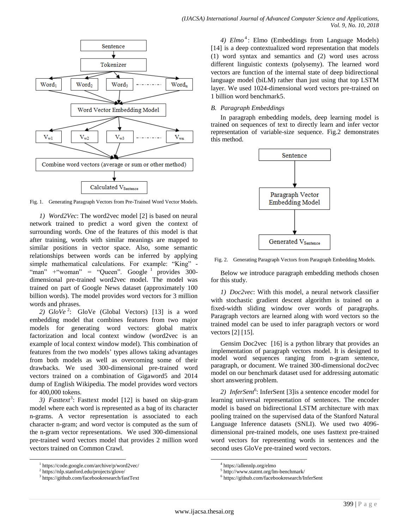

Fig. 1. Generating Paragraph Vectors from Pre-Trained Word Vector Models.

*1) Word2Vec*: The word2vec model [2] is based on neural network trained to predict a word given the context of surrounding words. One of the features of this model is that after training, words with similar meanings are mapped to similar positions in vector space. Also, some semantic relationships between words can be inferred by applying simple mathematical calculations. For example: "King" - "man" + "woman" = "Queen". Google  $\frac{1}{1}$  provides 300dimensional pre-trained word2vec model. The model was trained on part of Google News dataset (approximately 100 billion words). The model provides word vectors for 3 million words and phrases.

2)  $GloVe^2$ :  $GloVe$  (Global Vectors) [13] is a word embedding model that combines features from two major models for generating word vectors: global matrix factorization and local context window (word2vec is an example of local context window model). This combination of features from the two models' types allows taking advantages from both models as well as overcoming some of their drawbacks. We used 300-dimensional pre-trained word vectors trained on a combination of Gigaword5 and 2014 dump of English Wikipedia. The model provides word vectors for 400,000 tokens.

3) *Fasttext*<sup>3</sup>: Fasttext model [12] is based on skip-gram model where each word is represented as a bag of its character n-grams. A vector representation is associated to each character n-gram; and word vector is computed as the sum of the n-gram vector representations. We used 300-dimensional pre-trained word vectors model that provides 2 million word vectors trained on Common Crawl.

l

4) *Elmo*<sup>4</sup>: Elmo (Embeddings from Language Models) [14] is a deep contextualized word representation that models (1) word syntax and semantics and (2) word uses across different linguistic contexts (polysemy). The learned word vectors are function of the internal state of deep bidirectional language model (biLM) rather than just using that top LSTM layer. We used 1024-dimensional word vectors pre-trained on 1 billion word benchmark5.

## *B. Paragraph Embeddings*

In paragraph embedding models, deep learning model is trained on sequences of text to directly learn and infer vector representation of variable-size sequence. Fig.2 demonstrates this method.



Fig. 2. Generating Paragraph Vectors from Paragraph Embedding Models.

Below we introduce paragraph embedding methods chosen for this study.

*1) Doc2vec*: With this model, a neural network classifier with stochastic gradient descent algorithm is trained on a fixed-width sliding window over words of paragraphs. Paragraph vectors are learned along with word vectors so the trained model can be used to infer paragraph vectors or word vectors [2] [15].

Gensim Doc2vec [16] is a python library that provides an implementation of paragraph vectors model. It is designed to model word sequences ranging from n-gram sentence, paragraph, or document. We trained 300-dimensional doc2vec model on our benchmark dataset used for addressing automatic short answering problem.

2) *InferSent*<sup>6</sup>: InferSent [3] is a sentence encoder model for learning universal representation of sentences. The encoder model is based on bidirectional LSTM architecture with max pooling trained on the supervised data of the Stanford Natural Language Inference datasets (SNLI). We used two 4096 dimensional pre-trained models, one uses fasttext pre-trained word vectors for representing words in sentences and the second uses GloVe pre-trained word vectors.

 $\overline{\phantom{a}}$ 

<sup>1</sup> https://code.google.com/archive/p/word2vec/

<sup>2</sup> https://nlp.stanford.edu/projects/glove/

<sup>3</sup> https://github.com/facebookresearch/fastText

<sup>4</sup> https://allennlp.org/elmo

<sup>5</sup> http://www.statmt.org/lm-benchmark/

<sup>6</sup> https://github.com/facebookresearch/InferSent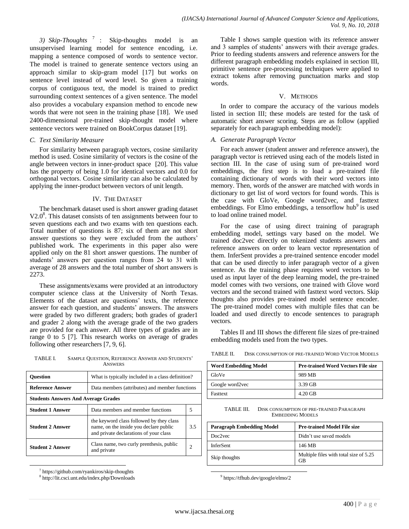*3) Skip-Thoughts* <sup>7</sup> : Skip-thoughts model is an unsupervised learning model for sentence encoding, i.e. mapping a sentence composed of words to sentence vector. The model is trained to generate sentence vectors using an approach similar to skip-gram model [17] but works on sentence level instead of word level. So given a training corpus of contiguous text, the model is trained to predict surrounding context sentences of a given sentence. The model also provides a vocabulary expansion method to encode new words that were not seen in the training phase [18]. We used 2400-dimensional pre-trained skip-thought model where sentence vectors were trained on BookCorpus dataset [19].

#### *C. Text Similarity Measure*

For similarity between paragraph vectors, cosine similarity method is used. Cosine similarity of vectors is the cosine of the angle between vectors in inner-product space [20]. This value has the property of being 1.0 for identical vectors and 0.0 for orthogonal vectors. Cosine similarity can also be calculated by applying the inner-product between vectors of unit length.

#### IV. THE DATASET

The benchmark dataset used is short answer grading dataset V2.0<sup>8</sup>. This dataset consists of ten assignments between four to seven questions each and two exams with ten questions each. Total number of questions is 87; six of them are not short answer questions so they were excluded from the authors' published work. The experiments in this paper also were applied only on the 81 short answer questions. The number of students' answers per question ranges from 24 to 31 with average of 28 answers and the total number of short answers is 2273.

These assignments/exams were provided at an introductory computer science class at the University of North Texas. Elements of the dataset are questions' texts, the reference answer for each question, and students' answers. The answers were graded by two different graders; both grades of grader1 and grader 2 along with the average grade of the two graders are provided for each answer. All three types of grades are in range 0 to 5 [7]. This research works on average of grades following other researchers [7, 9, 6].

| TABLE I. | SAMPLE QUESTION, REFERENCE ANSWER AND STUDENTS' |
|----------|-------------------------------------------------|
|          | <b>ANSWERS</b>                                  |

| <b>Ouestion</b>                            | What is typically included in a class definition?                                                                            |  |  |  |
|--------------------------------------------|------------------------------------------------------------------------------------------------------------------------------|--|--|--|
| <b>Reference Answer</b>                    | Data members (attributes) and member functions                                                                               |  |  |  |
| <b>Students Answers And Average Grades</b> |                                                                                                                              |  |  |  |
| <b>Student 1 Answer</b>                    | Data members and member functions                                                                                            |  |  |  |
| <b>Student 2 Answer</b>                    | the keyword class followed by they class<br>name, on the inside you declare public<br>and private declarations of your class |  |  |  |
| <b>Student 2 Answer</b>                    | Class name, two curly prenthesis, public<br>and private                                                                      |  |  |  |

7 https://github.com/ryankiros/skip-thoughts

l

8 http://lit.csci.unt.edu/index.php/Downloads

Table I shows sample question with its reference answer and 3 samples of students' answers with their average grades. Prior to feeding students answers and reference answers for the different paragraph embedding models explained in section III, primitive sentence pre-processing techniques were applied to extract tokens after removing punctuation marks and stop words.

#### V. METHODS

In order to compare the accuracy of the various models listed in section III; these models are tested for the task of automatic short answer scoring. Steps are as follow (applied separately for each paragraph embedding model):

#### *A. Generate Paragraph Vector*

For each answer (student answer and reference answer), the paragraph vector is retrieved using each of the models listed in section III. In the case of using sum of pre-trained word embeddings, the first step is to load a pre-trained file containing dictionary of words with their word vectors into memory. Then, words of the answer are matched with words in dictionary to get list of word vectors for found words. This is the case with GloVe, Google word2vec, and fasttext embeddings. For Elmo embeddings, a tensorflow hub<sup>9</sup> is used to load online trained model.

For the case of using direct training of paragraph embedding model, settings vary based on the model. We trained doc2vec directly on tokenized students answers and reference answers on order to learn vector representation of them. InferSent provides a pre-trained sentence encoder model that can be used directly to infer paragraph vector of a given sentence. As the training phase requires word vectors to be used as input layer of the deep learning model, the pre-trained model comes with two versions, one trained with Glove word vectors and the second trained with fasttext word vectors. Skip thoughts also provides pre-trained model sentence encoder. The pre-trained model comes with multiple files that can be loaded and used directly to encode sentences to paragraph vectors.

Tables II and III shows the different file sizes of pre-trained embedding models used from the two types.

| <b>Word Embedding Model</b> | <b>Pre-trained Word Vectors File size</b> |  |  |
|-----------------------------|-------------------------------------------|--|--|
| GloVe                       | 989 MB                                    |  |  |
| Google word2vec             | 3.39 GB                                   |  |  |
| Fasttext                    | $4.20$ GB                                 |  |  |

TABLE III. DISK CONSUMPTION OF PRE-TRAINED PARAGRAPH EMBEDDING MODELS

| <b>Paragraph Embedding Model</b> | <b>Pre-trained Model File size</b>           |  |  |
|----------------------------------|----------------------------------------------|--|--|
| Doc2vec                          | Didn't use saved models                      |  |  |
| <b>InferSent</b>                 | 146 MB                                       |  |  |
| Skip thoughts                    | Multiple files with total size of 5.25<br>GВ |  |  |

9 https://tfhub.dev/google/elmo/2

 $\overline{\phantom{a}}$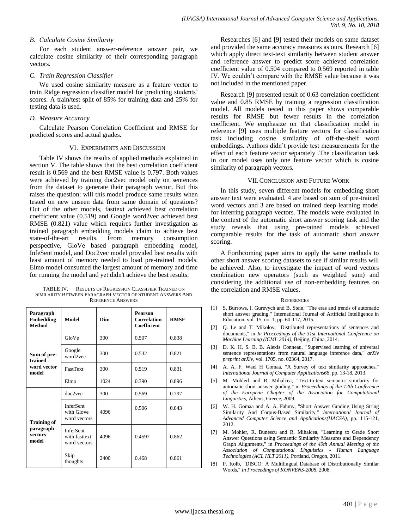#### *B. Calculate Cosine Similarity*

For each student answer-reference answer pair, we calculate cosine similarity of their corresponding paragraph vectors.

#### *C. Train Regression Classifier*

We used cosine similarity measure as a feature vector to train Ridge regression classifier model for predicting students' scores. A train/test split of 85% for training data and 25% for testing data is used.

#### *D. Measure Accuracy*

Calculate Pearson Correlation Coefficient and RMSE for predicted scores and actual grades.

#### VI. EXPERIMENTS AND DISCUSSION

Table IV shows the results of applied methods explained in section V. The table shows that the best correlation coefficient result is 0.569 and the best RMSE value is 0.797. Both values were achieved by training doc2vec model only on sentences from the dataset to generate their paragraph vector. But this raises the question: will this model produce same results when tested on new unseen data from same domain of questions? Out of the other models, fasttext achieved best correlation coefficient value (0.519) and Google word2vec achieved best RMSE (0.821) value which requires further investigation as trained paragraph embedding models claim to achieve best state-of-the-art results. From memory consumption perspective, GloVe based paragraph embedding model, InfeSent model, and Doc2vec model provided best results with least amount of memory needed to load pre-trained models. Elmo model consumed the largest amount of memory and time for running the model and yet didn't achieve the best results.

TABLE IV. RESULTS OF REGRESSION CLASSIFIER TRAINED ON SIMILARITY BETWEEN PARAGRAPH VECTOR OF STUDENT ANSWERS AND REFERENCE ANSWERS

| Paragraph<br><b>Embedding</b><br><b>Method</b> | Model                                             | <b>Dim</b> | <b>Pearson</b><br><b>Correlation</b><br>Coefficient | <b>RMSE</b> |
|------------------------------------------------|---------------------------------------------------|------------|-----------------------------------------------------|-------------|
|                                                | GloVe                                             | 300        | 0.507                                               | 0.838       |
| Sum of pre-<br>trained                         | Google<br>word2vec                                | 300        | 0.532                                               | 0.821       |
| word vector<br>model                           | <b>FastText</b>                                   | 300        | 0.519                                               | 0.831       |
|                                                | Elmo                                              | 1024       | 0.390                                               | 0.896       |
|                                                | doc2vec                                           | 300        | 0.569                                               | 0.797       |
| <b>Training of</b>                             | <b>InferSent</b><br>with Glove<br>word vectors    | 4096       | 0.506                                               | 0.843       |
| paragraph<br>vectors<br>model                  | <b>InferSent</b><br>with fasttext<br>word vectors | 4096       | 0.4597                                              | 0.862       |
|                                                | Skip<br>thoughts                                  | 2400       | 0.468                                               | 0.861       |

Researches [6] and [9] tested their models on same dataset and provided the same accuracy measures as ours. Research [6] which apply direct text-text similarity between student answer and reference answer to predict score achieved correlation coefficient value of 0.504 compared to 0.569 reported in table IV. We couldn't compare with the RMSE value because it was not included in the mentioned paper.

Research [9] presented result of 0.63 correlation coefficient value and 0.85 RMSE by training a regression classification model. All models tested in this paper shows comparable results for RMSE but fewer results in the correlation coefficient. We emphasize on that classification model in reference [9] uses multiple feature vectors for classification task including cosine similarity of off-the-shelf word embeddings. Authors didn't provide test measurements for the effect of each feature vector separately .The classification task in our model uses only one feature vector which is cosine similarity of paragraph vectors.

#### VII.CONCLUSION AND FUTURE WORK

In this study, seven different models for embedding short answer text were evaluated. 4 are based on sum of pre-trained word vectors and 3 are based on trained deep learning model for inferring paragraph vectors. The models were evaluated in the context of the automatic short answer scoring task and the study reveals that using pre-rained models achieved comparable results for the task of automatic short answer scoring.

A Forthcoming paper aims to apply the same methods to other short answer scoring datasets to see if similar results will be achieved. Also, to investigate the impact of word vectors combination new operators (such as weighted sum) and considering the additional use of non-embedding features on the correlation and RMSE values.

#### **REFERENCES**

- [1] S. Burrows, I. Gurevych and B. Stein, "The eras and trends of automatic short answer grading," International Journal of Artificial Intelligence in Education, vol. 15, no. 1, pp. 60-117, 2015.
- [2] Q. Le and T. Mikolov, "Distributed representations of sentences and documents," in *In Proceedings of the 31st International Conference on Machine Learning (ICML 2014)*, Beijing, China, 2014.
- [3] D. K. H. S. B. B. Alexis Conneau, "Supervised learning of universal sentence representations from natural language inference data," *arXiv preprint arXiv,* vol. 1705, no. 02364, 2017.
- [4] A. A. F. Wael H Gomaa, "A Survey of text similarity approaches," *International Journal of Computer Applications68,* pp. 13-18, 2013.
- [5] M. Mohlerl and R. Mihalcea, "Text-to-text semantic similarity for automatic short answer grading," in *Proceedings of the 12th Conference of the European Chapter of the Association for Computational Linguistics*, Athens, Greece, 2009.
- [6] W. H. Gomaa and A. A. Fahmy, "Short Answer Grading Using String Similarity And Corpus-Based Similarity," *International Journal of Advanced Computer Science and Applications(IJACSA),* pp. 115-121, 2012.
- [7] M. Mohler, R. Bunescu and R. Mihalcea, "Learning to Grade Short Answer Questions using Semantic Similarity Measures and Dependency Graph Alignments," in *Proceedings of the 49th Annual Meeting of the Association of Computational Linguistics - Human Language Technologies (ACL HLT 2011)*, Portland, Oregon, 2011.
- [8] P. Kolb, "DISCO: A Multilingual Database of Distributionally Similar Words," *In Proceedings of KONVENS-2008,* 2008.